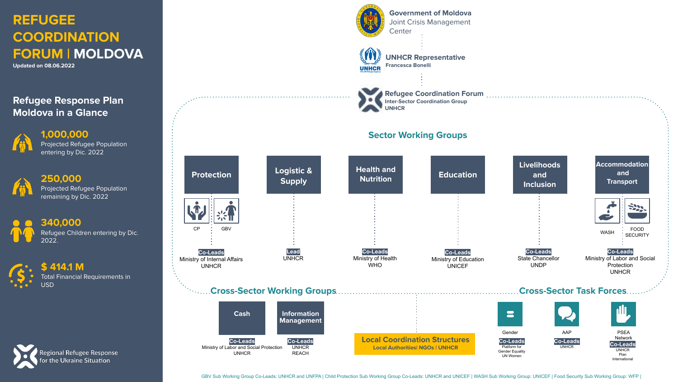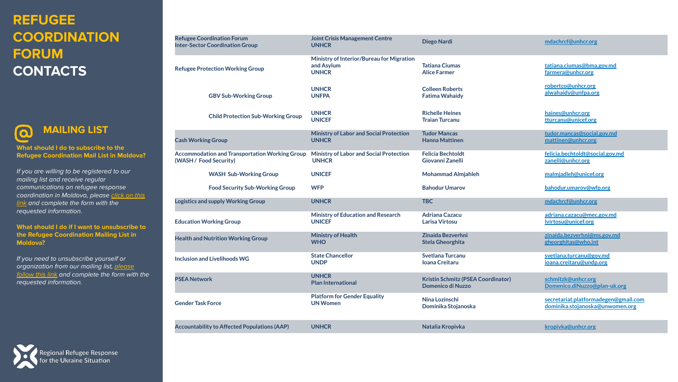## **REFUGEE COORDINATION FORUM CONTACTS**

**What should I do to subscribe to the Refugee Coordination Mail List in Moldova?**

 **MAILING LIST**

If you are willing to be registered to our mailing list and receive regular communications on refugee response coordination in Moldova, please [click on this](https://eur02.safelinks.protection.outlook.com/?url=http%3A%2F%2Feepurl.com%2FhZlSOT&data=04%7C01%7Cmdachrcf%40unhcr.org%7C62237dee20bf4aca508d08da213d3a5e%7Ce5c37981666441348a0c6543d2af80be%7C0%7C0%7C637858844098936163%7CUnknown%7CTWFpbGZsb3d8eyJWIjoiMC4wLjAwMDAiLCJQIjoiV2luMzIiLCJBTiI6Ik1haWwiLCJXVCI6Mn0%3D%7C3000&sdata=ivbaey%2FtQSAw%2BaLpMh9YyzKpm5YeB41Jcvnchv51NCM%3D&reserved=0) [link](https://eur02.safelinks.protection.outlook.com/?url=http%3A%2F%2Feepurl.com%2FhZlSOT&data=04%7C01%7Cmdachrcf%40unhcr.org%7C62237dee20bf4aca508d08da213d3a5e%7Ce5c37981666441348a0c6543d2af80be%7C0%7C0%7C637858844098936163%7CUnknown%7CTWFpbGZsb3d8eyJWIjoiMC4wLjAwMDAiLCJQIjoiV2luMzIiLCJBTiI6Ik1haWwiLCJXVCI6Mn0%3D%7C3000&sdata=ivbaey%2FtQSAw%2BaLpMh9YyzKpm5YeB41Jcvnchv51NCM%3D&reserved=0) and complete the form with the requested information.

**What should I do if I want to unsubscribe to the Refugee Coordination Mailing List in Moldova?**

If you need to unsubscribe yourself or organization from our mailing list, [please](https://eur02.safelinks.protection.outlook.com/?url=https%3A%2F%2Funhcr.us14.list-manage.com%2Funsubscribe%3Fu%3D5e93f8ae5112f5035a435c0e2%26id%3Df6ce6e9372&data=04%7C01%7Cmdachrcf%40unhcr.org%7C62237dee20bf4aca508d08da213d3a5e%7Ce5c37981666441348a0c6543d2af80be%7C0%7C0%7C637858844098936163%7CUnknown%7CTWFpbGZsb3d8eyJWIjoiMC4wLjAwMDAiLCJQIjoiV2luMzIiLCJBTiI6Ik1haWwiLCJXVCI6Mn0%3D%7C3000&sdata=kWBcqYRnGozWLkr6v%2FGCl2IpzBN2kUSBQOCIGRZQ5HU%3D&reserved=0) [follow this link](https://eur02.safelinks.protection.outlook.com/?url=https%3A%2F%2Funhcr.us14.list-manage.com%2Funsubscribe%3Fu%3D5e93f8ae5112f5035a435c0e2%26id%3Df6ce6e9372&data=04%7C01%7Cmdachrcf%40unhcr.org%7C62237dee20bf4aca508d08da213d3a5e%7Ce5c37981666441348a0c6543d2af80be%7C0%7C0%7C637858844098936163%7CUnknown%7CTWFpbGZsb3d8eyJWIjoiMC4wLjAwMDAiLCJQIjoiV2luMzIiLCJBTiI6Ik1haWwiLCJXVCI6Mn0%3D%7C3000&sdata=kWBcqYRnGozWLkr6v%2FGCl2IpzBN2kUSBQOCIGRZQ5HU%3D&reserved=0) and complete the form with the requested information.

| Regional Refugee Response<br>for the Ukraine Situation |
|--------------------------------------------------------|
|--------------------------------------------------------|

| <b>Joint Crisis Management Centre</b><br><b>UNHCR</b>                                                            | <b>Diego Nardi</b>                                             | mdachrcf@unhcr.org                                                                          |  |  |
|------------------------------------------------------------------------------------------------------------------|----------------------------------------------------------------|---------------------------------------------------------------------------------------------|--|--|
| Ministry of Interior/Bureau for Migration<br>and Asylum<br><b>UNHCR</b>                                          | <b>Tatiana Ciumas</b><br><b>Alice Farmer</b>                   | tatiana.ciumas@bma.gov.md<br>farmera@unhcr.org<br>robertco@unhcr.org<br>alwahaidy@unfpa.org |  |  |
| <b>UNHCR</b><br><b>UNFPA</b>                                                                                     | <b>Colleen Roberts</b><br><b>Fatima Wahaidv</b>                |                                                                                             |  |  |
| <b>UNHCR</b><br><b>UNICEF</b>                                                                                    | <b>Richelle Heines</b><br><b>Traian Turcanu</b>                | haines@unhcr.org<br>tturcanu@unicef.org                                                     |  |  |
| <b>Ministry of Labor and Social Protection</b><br><b>UNHCR</b>                                                   | <b>Tudor Mancas</b><br><b>Hanna Mattinen</b>                   | tudor.mancas@social.gov.md<br>mattinen@unhcr.org                                            |  |  |
| Ministry of Labor and Social Protection<br><b>Accommodation and Transportation Working Group</b><br><b>UNHCR</b> | <b>Felicia Bechtoldt</b><br>Giovanni Zanelli                   | felicia.bechtoldt@social.gov.md<br>zanelli@unhcr.org                                        |  |  |
| <b>UNICEF</b>                                                                                                    | <b>Mohammad Almjahleh</b>                                      | malmjadleh@unicef.org                                                                       |  |  |
| <b>WFP</b>                                                                                                       | <b>Bahodur Umarov</b>                                          | bahodur.umarov@wfp.org                                                                      |  |  |
| <b>UNHCR</b>                                                                                                     | <b>TBC</b>                                                     | mdachrcf@unhcr.org                                                                          |  |  |
| <b>Ministry of Education and Research</b><br><b>UNICEF</b>                                                       | <b>Adriana Cazacu</b><br><b>Larisa Virtosu</b>                 | adriana.cazacu@mec.gov.md<br>lvirtosu@unicef.org                                            |  |  |
| <b>Ministry of Health</b><br><b>WHO</b>                                                                          | Zinaida Bezverhni<br><b>Stela Gheorghita</b>                   | zinaida.bezverhni@ms.gov.md<br>gheorghitas@who.int                                          |  |  |
| <b>State Chancellor</b><br><b>UNDP</b>                                                                           | <b>Svetlana Turcanu</b><br><b>Ioana Creitaru</b>               | svetlana.turcanu@gov.md<br>ioana.creitaru@undp.org                                          |  |  |
| <b>UNHCR</b><br><b>Plan International</b>                                                                        | Kristin Schmitz (PSEA Coordinator)<br><b>Domenico di Nuzzo</b> | schmitzk@unhcr.org<br>Domenico.diNuzzo@plan-uk.org                                          |  |  |
| <b>Platform for Gender Equality</b><br><b>Gender Task Force</b><br><b>UN Women</b>                               |                                                                | secretariat.platformadegen@gmail.com<br>dominika.stojanoska@unwomen.org                     |  |  |
| <b>UNHCR</b>                                                                                                     | Natalia Kropivka                                               | kropivka@unhcr.org                                                                          |  |  |
|                                                                                                                  |                                                                | Nina Lozinschi<br>Dominika Stojanoska                                                       |  |  |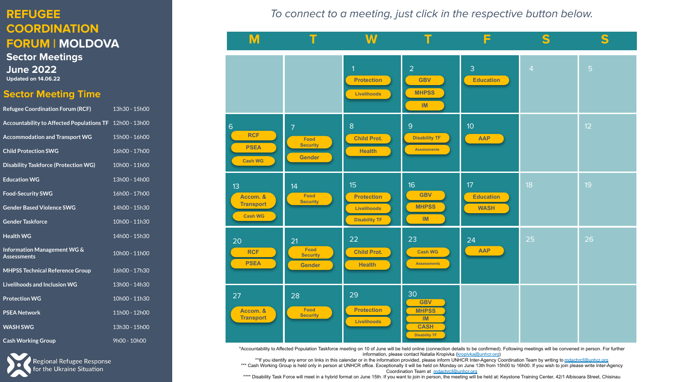## **REFUGEE COORDINATION FORUM | MOLDOVA**

**Sector Meetings June 2022 Updated on 14.06.22**

### **Sector Meeting Time**

| <b>Refugee Coordination Forum (RCF)</b>                 | 13h30 - 15h00 |
|---------------------------------------------------------|---------------|
| Accountability to Affected Populations TF 12h00 - 13h00 |               |
| <b>Accommodation and Transport WG</b>                   | 15h00 - 16h00 |
| <b>Child Protection SWG</b>                             | 16h00 - 17h00 |
| <b>Disability Taskforce (Protection WG)</b>             | 10h00 - 11h00 |
| <b>Education WG</b>                                     | 13h00 - 14h00 |
| <b>Food-Security SWG</b>                                | 16h00 - 17h00 |
| <b>Gender Based Violence SWG</b>                        | 14h00 - 15h30 |
| <b>Gender Taskforce</b>                                 | 10h00 - 11h30 |
| <b>Health WG</b>                                        | 14h00 - 15h30 |
| Information Management WG &<br><b>Assessments</b>       | 10h00 - 11h00 |
| <b>MHPSS Technical Reference Group</b>                  | 16h00 - 17h30 |
| Livelihoods and Inclusion WG                            | 13h00 - 14h30 |
| <b>Protection WG</b>                                    | 10h00 - 11h30 |
| <b>PSEA Network</b>                                     | 11h00 - 12h00 |
| <b>WASH SWG</b>                                         | 13h30 - 15h00 |
| <b>Cash Working Group</b>                               | 9h00 - 10h00  |



To connect to a meeting, just click in the respective button below.

| M                                                             | T                                                          | W                                                                            | Т                                                                             | F                                                  | S              | S              |
|---------------------------------------------------------------|------------------------------------------------------------|------------------------------------------------------------------------------|-------------------------------------------------------------------------------|----------------------------------------------------|----------------|----------------|
|                                                               |                                                            | 1 <sup>1</sup><br><b>Protection</b><br>Livelihoods                           | $\overline{2}$<br><b>GBV</b><br><b>MHPSS</b><br>IM                            | 3<br><b>Education</b>                              | $\overline{4}$ | $\overline{5}$ |
| $6\phantom{1}$<br><b>RCF</b><br><b>PSEA</b><br><b>Cash WG</b> | $\overline{7}$<br>Food<br><b>Security</b><br><b>Gender</b> | $\bf 8$<br><b>Child Prot.</b><br><b>Health</b>                               | $\overline{9}$<br><b>Disability TF</b><br><b>Assessments</b>                  | 10 <sup>°</sup><br>AAP                             |                | 12             |
| 13<br>Accom. &<br><b>Transport</b><br><b>Cash WG</b>          | 14<br>Food<br><b>Security</b>                              | 15 <sup>15</sup><br><b>Protection</b><br>Livelihoods<br><b>Disability TF</b> | 16<br><b>GBV</b><br><b>MHPSS</b><br>IM                                        | 17 <sup>°</sup><br><b>Education</b><br><b>WASH</b> | 18             | 19             |
| 20<br><b>RCF</b><br><b>PSEA</b>                               | 21<br>Food<br><b>Security</b><br>Gender                    | 22<br><b>Child Prot.</b><br><b>Health</b>                                    | 23<br><b>Cash WG</b><br><b>Assessments</b>                                    | 24<br>AAP                                          | 25             | 26             |
| 27<br>Accom. &<br><b>Transport</b>                            | 28<br>Food<br><b>Security</b>                              | 29<br><b>Protection</b><br>Livelihoods                                       | 30<br><b>GBV</b><br><b>MHPSS</b><br>IM<br><b>CASH</b><br><b>Disability TF</b> |                                                    |                |                |

\*Accountability to Affected Population Taskforce meeting on 10 of June will be held online (connection details to be confirmed). Following meetings will be convened in person. For further information, please contact Natalia Kropivka ([kropivka@unhcr.org](mailto:kropivka@unhcr.org))

\*\*If you identify any error on links in this calendar or in the information provided, please inform UNHCR Inter-Agency Coordination Team by writing to [mdachrcf@unhcr.org](mailto:mdacfrcf@unhcr.org) \*\*\* Cash Working Group is held only in person at UNHCR office. Exceptionally it will be held on Monday on June 13th from 15h00 to 16h00. If you wish to join please write Inter-Agency Coordination Team at [mdachrcf@unhcr.org](mailto:mdacfrcf@unhcr.org)

\*\*\*\* Disability Task Force will meet in a hybrid format on June 15th. If you want to join in person, the meeting will be held at: Keystone Training Center, 42/1 Albisoara Street, Chisinau